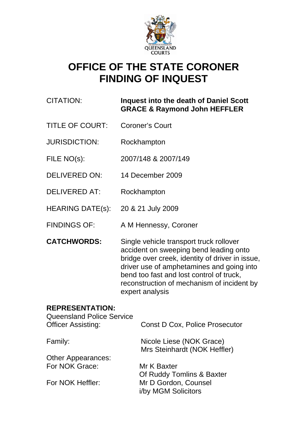

# **OFFICE OF THE STATE CORONER FINDING OF INQUEST**

# CITATION: **Inquest into the death of Daniel Scott GRACE & Raymond John HEFFLER**

- TITLE OF COURT: Coroner's Court
- JURISDICTION: Rockhampton
- FILE NO(s): 2007/148 & 2007/149
- DELIVERED ON: 14 December 2009
- DELIVERED AT: Rockhampton
- HEARING DATE(s): 20 & 21 July 2009
- FINDINGS OF: A M Hennessy, Coroner
- **CATCHWORDS:** Single vehicle transport truck rollover accident on sweeping bend leading onto bridge over creek, identity of driver in issue, driver use of amphetamines and going into bend too fast and lost control of truck, reconstruction of mechanism of incident by expert analysis

# **REPRESENTATION:**

| <b>Queensland Police Service</b><br><b>Officer Assisting:</b> | <b>Const D Cox, Police Prosecutor</b>                    |
|---------------------------------------------------------------|----------------------------------------------------------|
| Family:                                                       | Nicole Liese (NOK Grace)<br>Mrs Steinhardt (NOK Heffler) |
| <b>Other Appearances:</b>                                     |                                                          |
| For NOK Grace:                                                | Mr K Baxter                                              |
|                                                               | Of Ruddy Tomlins & Baxter                                |
| For NOK Heffler:                                              | Mr D Gordon, Counsel<br>i/by MGM Solicitors              |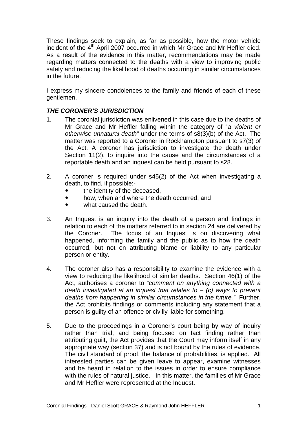These findings seek to explain, as far as possible, how the motor vehicle incident of the 4<sup>th</sup> April 2007 occurred in which Mr Grace and Mr Heffler died. As a result of the evidence in this matter, recommendations may be made regarding matters connected to the deaths with a view to improving public safety and reducing the likelihood of deaths occurring in similar circumstances in the future.

I express my sincere condolences to the family and friends of each of these gentlemen.

## *THE CORONER'S JURISDICTION*

- 1. The coronial jurisdiction was enlivened in this case due to the deaths of Mr Grace and Mr Heffler falling within the category of "*a violent or otherwise unnatural death"* under the terms of s8(3)(b) of the Act. The matter was reported to a Coroner in Rockhampton pursuant to s7(3) of the Act. A coroner has jurisdiction to investigate the death under Section 11(2), to inquire into the cause and the circumstances of a reportable death and an inquest can be held pursuant to s28.
- 2. A coroner is required under s45(2) of the Act when investigating a death, to find, if possible:
	- the identity of the deceased.
	- how, when and where the death occurred, and
	- what caused the death.
- 3. An Inquest is an inquiry into the death of a person and findings in relation to each of the matters referred to in section 24 are delivered by the Coroner. The focus of an Inquest is on discovering what happened, informing the family and the public as to how the death occurred, but not on attributing blame or liability to any particular person or entity.
- 4. The coroner also has a responsibility to examine the evidence with a view to reducing the likelihood of similar deaths. Section 46(1) of the Act, authorises a coroner to "*comment on anything connected with a death investigated at an inquest that relates to* – *(c) ways to prevent deaths from happening in similar circumstances in the future."* Further, the Act prohibits findings or comments including any statement that a person is guilty of an offence or civilly liable for something.
- 5. Due to the proceedings in a Coroner's court being by way of inquiry rather than trial, and being focused on fact finding rather than attributing guilt, the Act provides that the Court may inform itself in any appropriate way (section 37) and is not bound by the rules of evidence. The civil standard of proof, the balance of probabilities, is applied. All interested parties can be given leave to appear, examine witnesses and be heard in relation to the issues in order to ensure compliance with the rules of natural justice. In this matter, the families of Mr Grace and Mr Heffler were represented at the Inquest.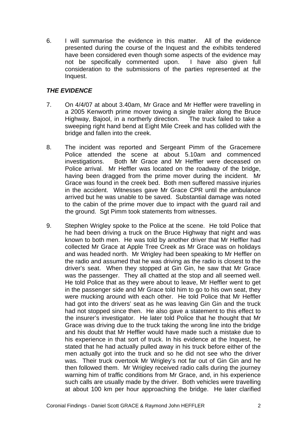6. I will summarise the evidence in this matter. All of the evidence presented during the course of the Inquest and the exhibits tendered have been considered even though some aspects of the evidence may not be specifically commented upon. I have also given full consideration to the submissions of the parties represented at the Inquest.

## *THE EVIDENCE*

- 7. On 4/4/07 at about 3.40am, Mr Grace and Mr Heffler were travelling in a 2005 Kenworth prime mover towing a single trailer along the Bruce Highway, Bajool, in a northerly direction. The truck failed to take a sweeping right hand bend at Eight Mile Creek and has collided with the bridge and fallen into the creek.
- 8. The incident was reported and Sergeant Pimm of the Gracemere Police attended the scene at about 5.10am and commenced investigations. Both Mr Grace and Mr Heffler were deceased on Police arrival. Mr Heffler was located on the roadway of the bridge, having been dragged from the prime mover during the incident. Mr Grace was found in the creek bed. Both men suffered massive injuries in the accident. Witnesses gave Mr Grace CPR until the ambulance arrived but he was unable to be saved. Substantial damage was noted to the cabin of the prime mover due to impact with the guard rail and the ground. Sgt Pimm took statements from witnesses.
- 9. Stephen Wrigley spoke to the Police at the scene. He told Police that he had been driving a truck on the Bruce Highway that night and was known to both men. He was told by another driver that Mr Heffler had collected Mr Grace at Apple Tree Creek as Mr Grace was on holidays and was headed north. Mr Wrigley had been speaking to Mr Heffler on the radio and assumed that he was driving as the radio is closest to the driver's seat. When they stopped at Gin Gin, he saw that Mr Grace was the passenger. They all chatted at the stop and all seemed well. He told Police that as they were about to leave, Mr Heffler went to get in the passenger side and Mr Grace told him to go to his own seat, they were mucking around with each other. He told Police that Mr Heffler had got into the drivers' seat as he was leaving Gin Gin and the truck had not stopped since then. He also gave a statement to this effect to the insurer's investigator. He later told Police that he thought that Mr Grace was driving due to the truck taking the wrong line into the bridge and his doubt that Mr Heffler would have made such a mistake due to his experience in that sort of truck. In his evidence at the Inquest, he stated that he had actually pulled away in his truck before either of the men actually got into the truck and so he did not see who the driver was. Their truck overtook Mr Wrigley's not far out of Gin Gin and he then followed them. Mr Wrigley received radio calls during the journey warning him of traffic conditions from Mr Grace, and, in his experience such calls are usually made by the driver. Both vehicles were travelling at about 100 km per hour approaching the bridge. He later clarified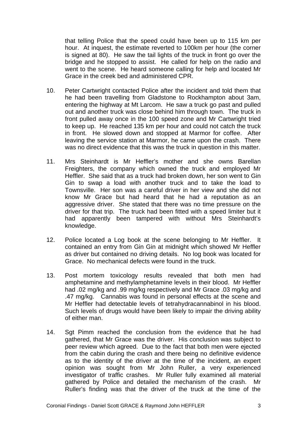that telling Police that the speed could have been up to 115 km per hour. At inquest, the estimate reverted to 100km per hour (the corner is signed at 80). He saw the tail lights of the truck in front go over the bridge and he stopped to assist. He called for help on the radio and went to the scene. He heard someone calling for help and located Mr Grace in the creek bed and administered CPR.

- 10. Peter Cartwright contacted Police after the incident and told them that he had been travelling from Gladstone to Rockhampton about 3am, entering the highway at Mt Larcom. He saw a truck go past and pulled out and another truck was close behind him through town. The truck in front pulled away once in the 100 speed zone and Mr Cartwright tried to keep up. He reached 135 km per hour and could not catch the truck in front. He slowed down and stopped at Marmor for coffee. After leaving the service station at Marmor, he came upon the crash. There was no direct evidence that this was the truck in question in this matter.
- 11. Mrs Steinhardt is Mr Heffler's mother and she owns Barellan Freighters, the company which owned the truck and employed Mr Heffler. She said that as a truck had broken down, her son went to Gin Gin to swap a load with another truck and to take the load to Townsville. Her son was a careful driver in her view and she did not know Mr Grace but had heard that he had a reputation as an aggressive driver. She stated that there was no time pressure on the driver for that trip. The truck had been fitted with a speed limiter but it had apparently been tampered with without Mrs Steinhardt's knowledge.
- 12. Police located a Log book at the scene belonging to Mr Heffler. It contained an entry from Gin Gin at midnight which showed Mr Heffler as driver but contained no driving details. No log book was located for Grace. No mechanical defects were found in the truck.
- 13. Post mortem toxicology results revealed that both men had amphetamine and methylamphetamine levels in their blood. Mr Heffler had .02 mg/kg and .99 mg/kg respectively and Mr Grace .03 mg/kg and .47 mg/kg. Cannabis was found in personal effects at the scene and Mr Heffler had detectable levels of tetrahydracannabinol in his blood. Such levels of drugs would have been likely to impair the driving ability of either man.
- 14. Sat Pimm reached the conclusion from the evidence that he had gathered, that Mr Grace was the driver. His conclusion was subject to peer review which agreed. Due to the fact that both men were ejected from the cabin during the crash and there being no definitive evidence as to the identity of the driver at the time of the incident, an expert opinion was sought from Mr John Ruller, a very experienced investigator of traffic crashes. Mr Ruller fully examined all material gathered by Police and detailed the mechanism of the crash. Mr Ruller's finding was that the driver of the truck at the time of the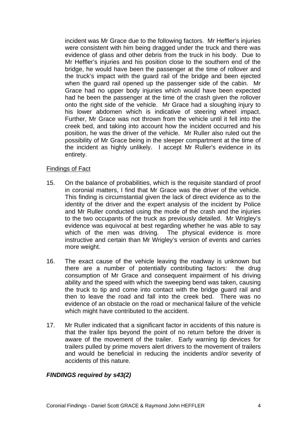incident was Mr Grace due to the following factors. Mr Heffler's injuries were consistent with him being dragged under the truck and there was evidence of glass and other debris from the truck in his body. Due to Mr Heffler's injuries and his position close to the southern end of the bridge, he would have been the passenger at the time of rollover and the truck's impact with the guard rail of the bridge and been ejected when the guard rail opened up the passenger side of the cabin. Mr Grace had no upper body injuries which would have been expected had he been the passenger at the time of the crash given the rollover onto the right side of the vehicle. Mr Grace had a sloughing injury to his lower abdomen which is indicative of steering wheel impact. Further, Mr Grace was not thrown from the vehicle until it fell into the creek bed, and taking into account how the incident occurred and his position, he was the driver of the vehicle. Mr Ruller also ruled out the possibility of Mr Grace being in the sleeper compartment at the time of the incident as highly unlikely. I accept Mr Ruller's evidence in its entirety.

#### Findings of Fact

- 15. On the balance of probabilities, which is the requisite standard of proof in coronial matters, I find that Mr Grace was the driver of the vehicle. This finding is circumstantial given the lack of direct evidence as to the identity of the driver and the expert analysis of the incident by Police and Mr Ruller conducted using the mode of the crash and the injuries to the two occupants of the truck as previously detailed. Mr Wrigley's evidence was equivocal at best regarding whether he was able to say which of the men was driving. The physical evidence is more instructive and certain than Mr Wrigley's version of events and carries more weight.
- 16. The exact cause of the vehicle leaving the roadway is unknown but there are a number of potentially contributing factors: the drug consumption of Mr Grace and consequent impairment of his driving ability and the speed with which the sweeping bend was taken, causing the truck to tip and come into contact with the bridge guard rail and then to leave the road and fall into the creek bed. There was no evidence of an obstacle on the road or mechanical failure of the vehicle which might have contributed to the accident.
- 17. Mr Ruller indicated that a significant factor in accidents of this nature is that the trailer tips beyond the point of no return before the driver is aware of the movement of the trailer. Early warning tip devices for trailers pulled by prime movers alert drivers to the movement of trailers and would be beneficial in reducing the incidents and/or severity of accidents of this nature.

### *FINDINGS required by s43(2)*